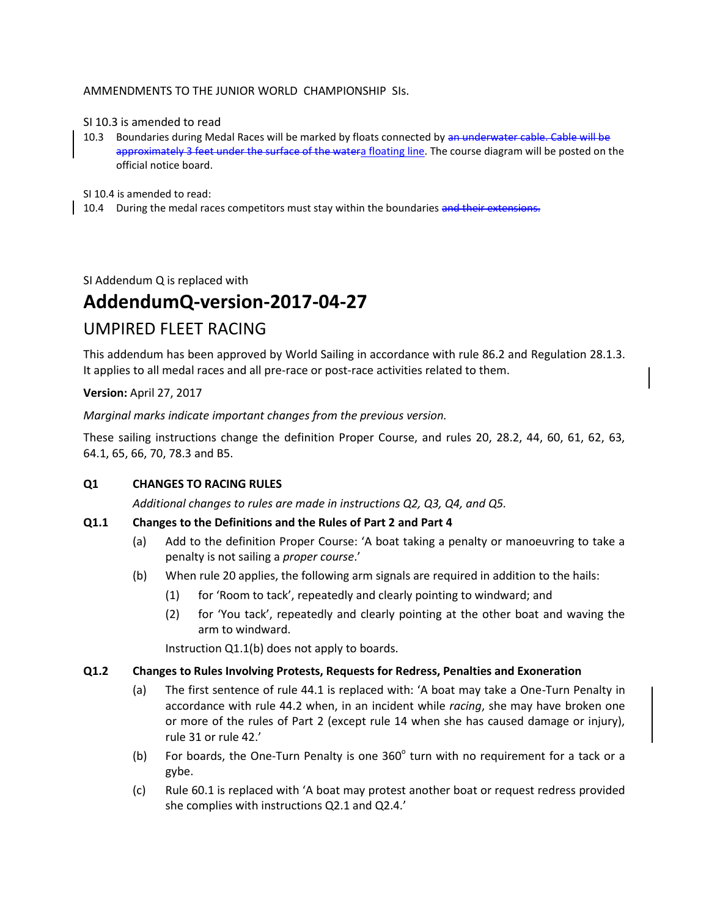# AMMENDMENTS TO THE JUNIOR WORLD CHAMPIONSHIP SIs.

#### SI 10.3 is amended to read

10.3 Boundaries during Medal Races will be marked by floats connected by an underwater cable. Cable will be approximately 3 feet under the surface of the watera floating line. The course diagram will be posted on the official notice board.

SI 10.4 is amended to read:

10.4 During the medal races competitors must stay within the boundaries and their extensions.

SI Addendum Q is replaced with

# **AddendumQ-version-2017-04-27**

# UMPIRED FLEET RACING

This addendum has been approved by World Sailing in accordance with rule 86.2 and Regulation 28.1.3. It applies to all medal races and all pre-race or post-race activities related to them.

**Version:** April 27, 2017

*Marginal marks indicate important changes from the previous version.*

These sailing instructions change the definition Proper Course, and rules 20, 28.2, 44, 60, 61, 62, 63, 64.1, 65, 66, 70, 78.3 and B5.

# **Q1 CHANGES TO RACING RULES**

*Additional changes to rules are made in instructions Q2, Q3, Q4, and Q5.*

# **Q1.1 Changes to the Definitions and the Rules of Part 2 and Part 4**

- (a) Add to the definition Proper Course: 'A boat taking a penalty or manoeuvring to take a penalty is not sailing a *proper course*.'
- (b) When rule 20 applies, the following arm signals are required in addition to the hails:
	- (1) for 'Room to tack', repeatedly and clearly pointing to windward; and
	- (2) for 'You tack', repeatedly and clearly pointing at the other boat and waving the arm to windward.

Instruction Q1.1(b) does not apply to boards.

#### **Q1.2 Changes to Rules Involving Protests, Requests for Redress, Penalties and Exoneration**

- (a) The first sentence of rule 44.1 is replaced with: 'A boat may take a One-Turn Penalty in accordance with rule 44.2 when, in an incident while *racing*, she may have broken one or more of the rules of Part 2 (except rule 14 when she has caused damage or injury), rule 31 or rule 42.'
- (b) For boards, the One-Turn Penalty is one  $360^\circ$  turn with no requirement for a tack or a gybe.
- (c) Rule 60.1 is replaced with 'A boat may protest another boat or request redress provided she complies with instructions Q2.1 and Q2.4.'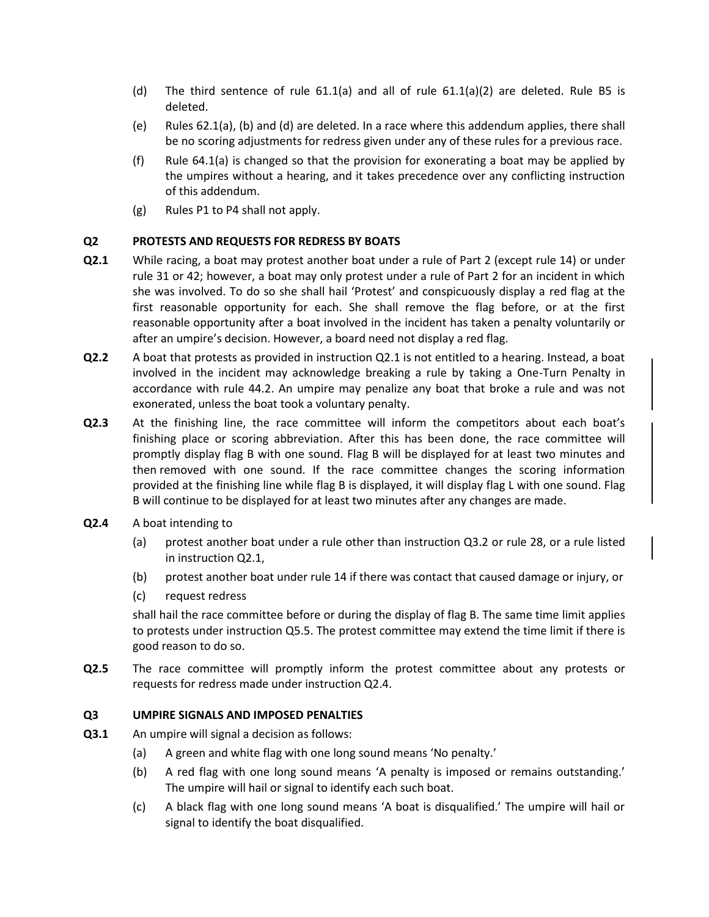- (d) The third sentence of rule  $61.1(a)$  and all of rule  $61.1(a)(2)$  are deleted. Rule B5 is deleted.
- (e) Rules 62.1(a), (b) and (d) are deleted. In a race where this addendum applies, there shall be no scoring adjustments for redress given under any of these rules for a previous race.
- (f) Rule 64.1(a) is changed so that the provision for exonerating a boat may be applied by the umpires without a hearing, and it takes precedence over any conflicting instruction of this addendum.
- (g) Rules P1 to P4 shall not apply.

# **Q2 PROTESTS AND REQUESTS FOR REDRESS BY BOATS**

- **Q2.1** While racing, a boat may protest another boat under a rule of Part 2 (except rule 14) or under rule 31 or 42; however, a boat may only protest under a rule of Part 2 for an incident in which she was involved. To do so she shall hail 'Protest' and conspicuously display a red flag at the first reasonable opportunity for each. She shall remove the flag before, or at the first reasonable opportunity after a boat involved in the incident has taken a penalty voluntarily or after an umpire's decision. However, a board need not display a red flag.
- **Q2.2** A boat that protests as provided in instruction Q2.1 is not entitled to a hearing. Instead, a boat involved in the incident may acknowledge breaking a rule by taking a One-Turn Penalty in accordance with rule 44.2. An umpire may penalize any boat that broke a rule and was not exonerated, unless the boat took a voluntary penalty.
- **Q2.3** At the finishing line, the race committee will inform the competitors about each boat's finishing place or scoring abbreviation. After this has been done, the race committee will promptly display flag B with one sound. Flag B will be displayed for at least two minutes and then removed with one sound. If the race committee changes the scoring information provided at the finishing line while flag B is displayed, it will display flag L with one sound. Flag B will continue to be displayed for at least two minutes after any changes are made.
- **Q2.4** A boat intending to
	- (a) protest another boat under a rule other than instruction Q3.2 or rule 28, or a rule listed in instruction Q2.1,
	- (b) protest another boat under rule 14 if there was contact that caused damage or injury, or
	- (c) request redress

shall hail the race committee before or during the display of flag B. The same time limit applies to protests under instruction Q5.5. The protest committee may extend the time limit if there is good reason to do so.

**Q2.5** The race committee will promptly inform the protest committee about any protests or requests for redress made under instruction Q2.4.

# **Q3 UMPIRE SIGNALS AND IMPOSED PENALTIES**

- **Q3.1** An umpire will signal a decision as follows:
	- (a) A green and white flag with one long sound means 'No penalty.'
	- (b) A red flag with one long sound means 'A penalty is imposed or remains outstanding.' The umpire will hail or signal to identify each such boat.
	- (c) A black flag with one long sound means 'A boat is disqualified.' The umpire will hail or signal to identify the boat disqualified.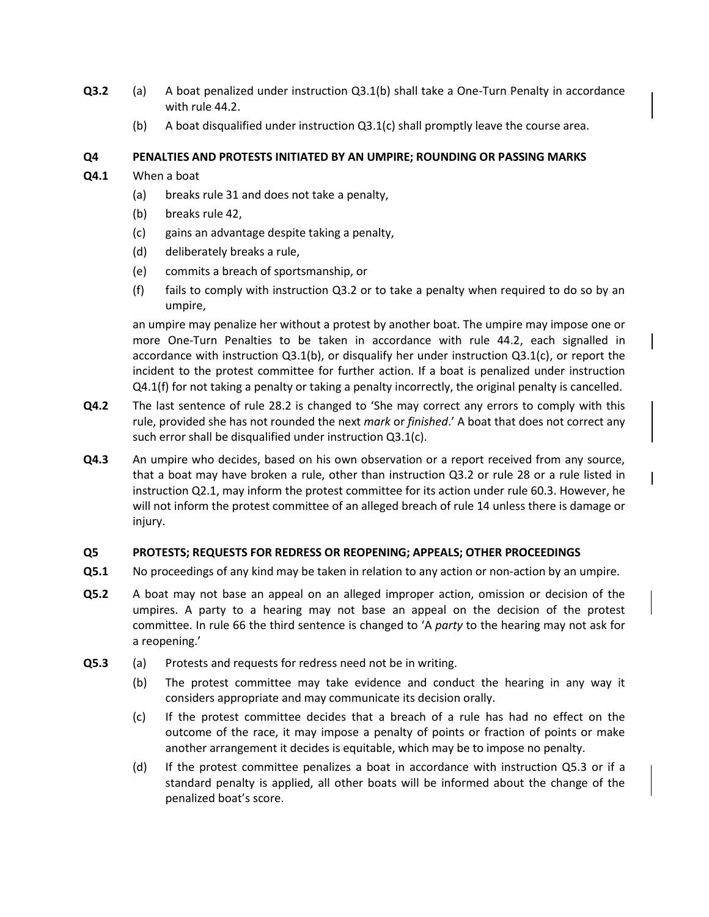- **Q3.2** (a) A boat penalized under instruction Q3.1(b) shall take a One-Turn Penalty in accordance with rule 44.2.
	- (b) A boat disqualified under instruction Q3.1(c) shall promptly leave the course area.

# **Q4 PENALTIES AND PROTESTS INITIATED BY AN UMPIRE; ROUNDING OR PASSING MARKS**

- **Q4.1** When a boat
	- (a) breaks rule 31 and does not take a penalty,
	- (b) breaks rule 42,
	- (c) gains an advantage despite taking a penalty,
	- (d) deliberately breaks a rule,
	- (e) commits a breach of sportsmanship, or
	- (f) fails to comply with instruction Q3.2 or to take a penalty when required to do so by an umpire,

an umpire may penalize her without a protest by another boat. The umpire may impose one or more One-Turn Penalties to be taken in accordance with rule 44.2, each signalled in accordance with instruction Q3.1(b), or disqualify her under instruction Q3.1(c), or report the incident to the protest committee for further action. If a boat is penalized under instruction Q4.1(f) for not taking a penalty or taking a penalty incorrectly, the original penalty is cancelled.

- **Q4.2** The last sentence of rule 28.2 is changed to 'She may correct any errors to comply with this rule, provided she has not rounded the next *mark* or *finished*.' A boat that does not correct any such error shall be disqualified under instruction Q3.1(c).
- **Q4.3** An umpire who decides, based on his own observation or a report received from any source, that a boat may have broken a rule, other than instruction Q3.2 or rule 28 or a rule listed in instruction Q2.1, may inform the protest committee for its action under rule 60.3. However, he will not inform the protest committee of an alleged breach of rule 14 unless there is damage or injury.

# **Q5 PROTESTS; REQUESTS FOR REDRESS OR REOPENING; APPEALS; OTHER PROCEEDINGS**

- **Q5.1** No proceedings of any kind may be taken in relation to any action or non-action by an umpire.
- **Q5.2** A boat may not base an appeal on an alleged improper action, omission or decision of the umpires. A party to a hearing may not base an appeal on the decision of the protest committee. In rule 66 the third sentence is changed to 'A *party* to the hearing may not ask for a reopening.'
- **Q5.3** (a) Protests and requests for redress need not be in writing.
	- (b) The protest committee may take evidence and conduct the hearing in any way it considers appropriate and may communicate its decision orally.
	- (c) If the protest committee decides that a breach of a rule has had no effect on the outcome of the race, it may impose a penalty of points or fraction of points or make another arrangement it decides is equitable, which may be to impose no penalty.
	- (d) If the protest committee penalizes a boat in accordance with instruction Q5.3 or if a standard penalty is applied, all other boats will be informed about the change of the penalized boat's score.